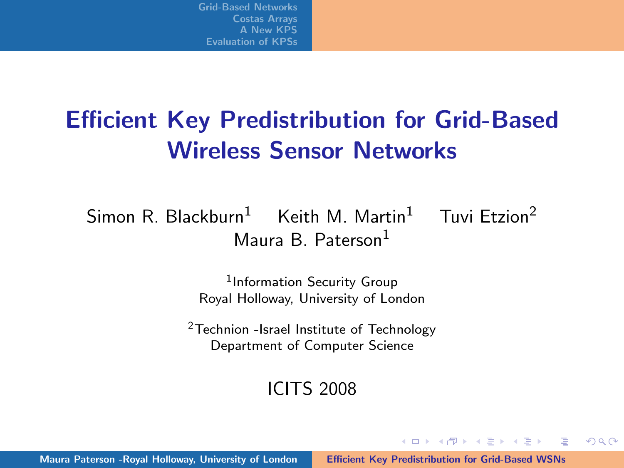# Efficient Key Predistribution for Grid-Based Wireless Sensor Networks

Simon R. Blackburn<sup>1</sup> Keith M. Martin<sup>1</sup> Tuvi Etzion<sup>2</sup> Maura B. Paterson<sup>1</sup>

> 1 Information Security Group Royal Holloway, University of London

<sup>2</sup>Technion -Israel Institute of Technology Department of Computer Science

#### ICITS 2008

<span id="page-0-0"></span> $(0,1)$   $(0,1)$   $(0,1)$   $(1,1)$   $(1,1)$   $(1,1)$   $(1,1)$   $(1,1)$   $(1,1)$   $(1,1)$   $(1,1)$   $(1,1)$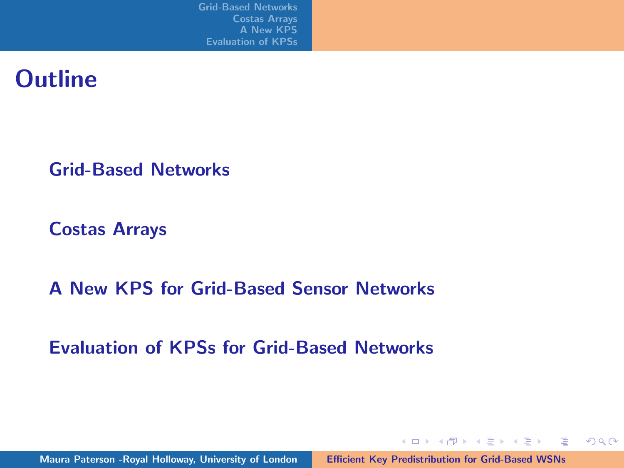#### **Outline**

[Grid-Based Networks](#page-2-0)

[Costas Arrays](#page-9-0)

[A New KPS for Grid-Based Sensor Networks](#page-15-0)

[Evaluation of KPSs for Grid-Based Networks](#page-28-0)

イロン イ団ン イミン イミン 一番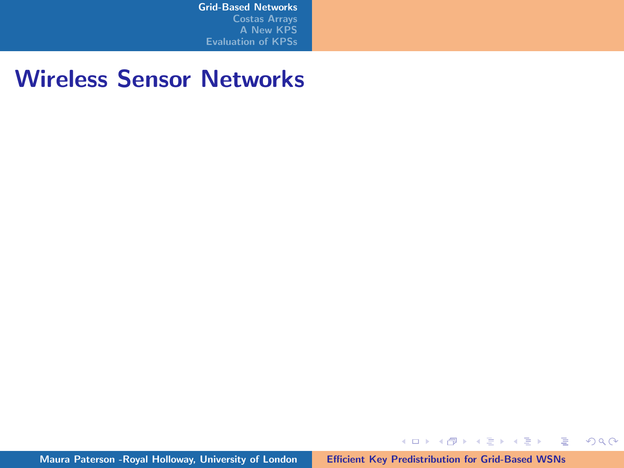#### Wireless Sensor Networks

Maura Paterson -Royal Holloway, University of London [Efficient Key Predistribution for Grid-Based WSNs](#page-0-0)

メロメ メタメ メミメ メミメン 毛

<span id="page-2-0"></span> $299$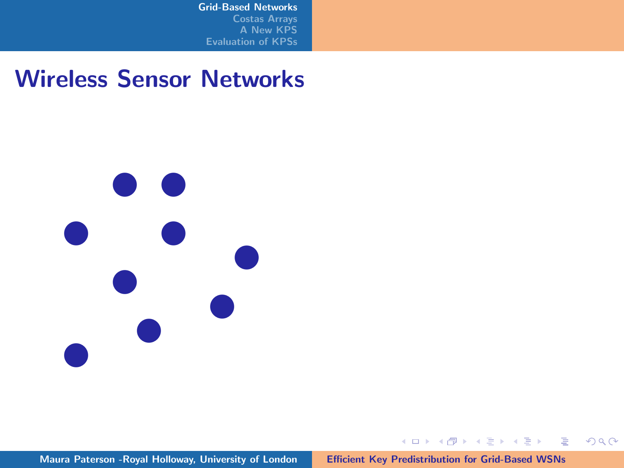#### Wireless Sensor Networks



メロトメ 御 トメ 君 トメ 君 トー 君

 $299$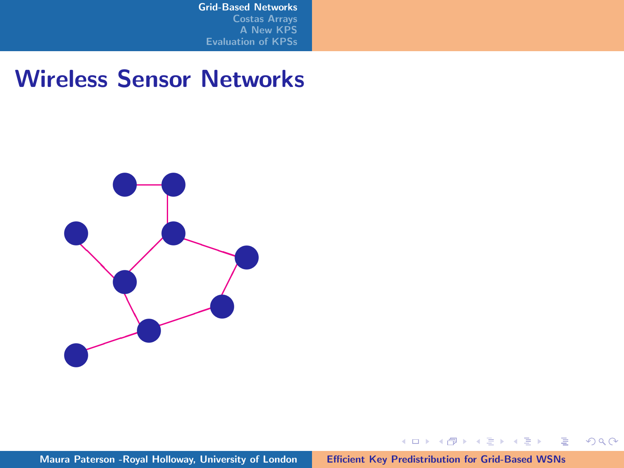#### Wireless Sensor Networks



メロメ メ団 メメ 君 メメ 君 メ

 $\equiv$ 

 $299$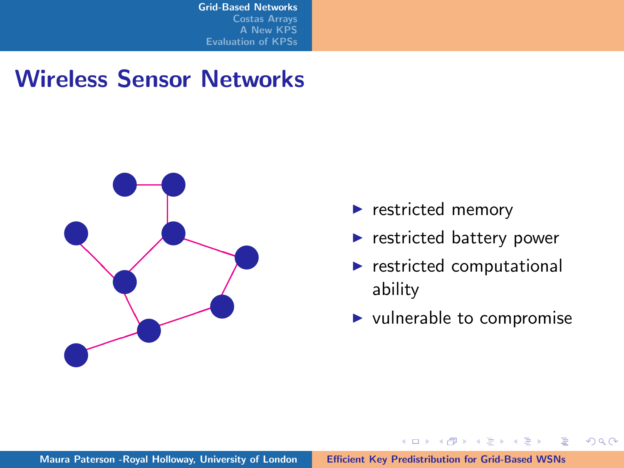#### Wireless Sensor Networks



- $\blacktriangleright$  restricted memory
- $\blacktriangleright$  restricted battery power
- $\blacktriangleright$  restricted computational ability
- $\blacktriangleright$  vulnerable to compromise

イロメ イ御メ イヨメ イヨメ

 $2Q$ 

后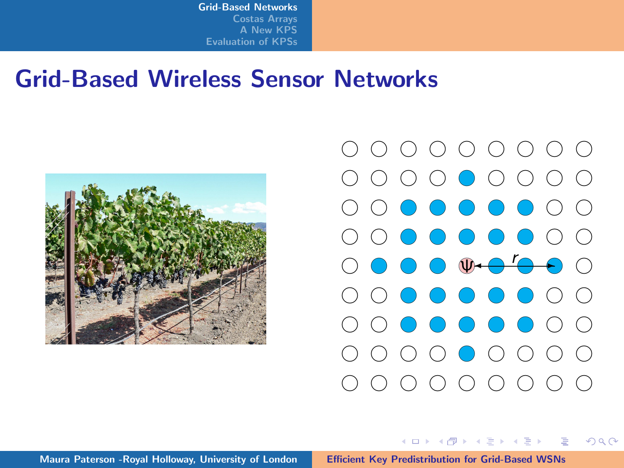#### Grid-Based Wireless Sensor Networks





メロメ メ御 メメ ミメ メミメ

 $\Omega$ 

Maura Paterson -Royal Holloway, University of London [Efficient Key Predistribution for Grid-Based WSNs](#page-0-0)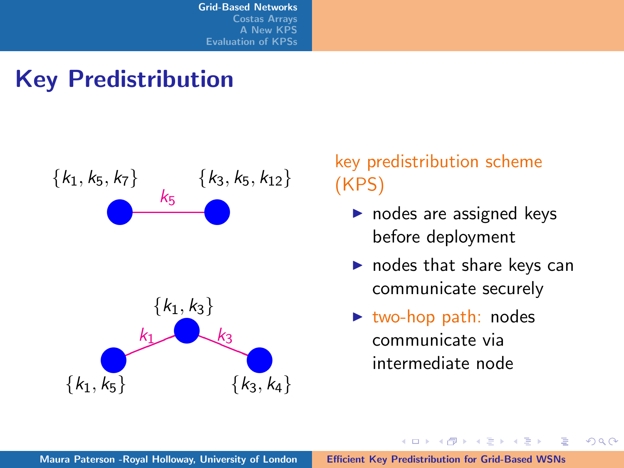# Key Predistribution



#### key predistribution scheme (KPS)

- $\triangleright$  nodes are assigned keys before deployment
- $\blacktriangleright$  nodes that share keys can communicate securely

K ロ ⊁ K 倒 ≯ K ミ ⊁ K ミ ⊁

 $\Omega$ 

后

 $\triangleright$  two-hop path: nodes communicate via intermediate node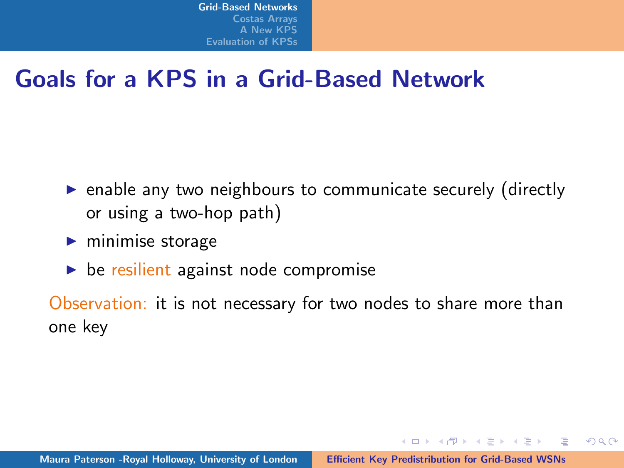## Goals for a KPS in a Grid-Based Network

- $\triangleright$  enable any two neighbours to communicate securely (directly or using a two-hop path)
- $\blacktriangleright$  minimise storage
- $\triangleright$  be resilient against node compromise

Observation: it is not necessary for two nodes to share more than one key

イロメ イタメ イチメ イチメート

 $\equiv$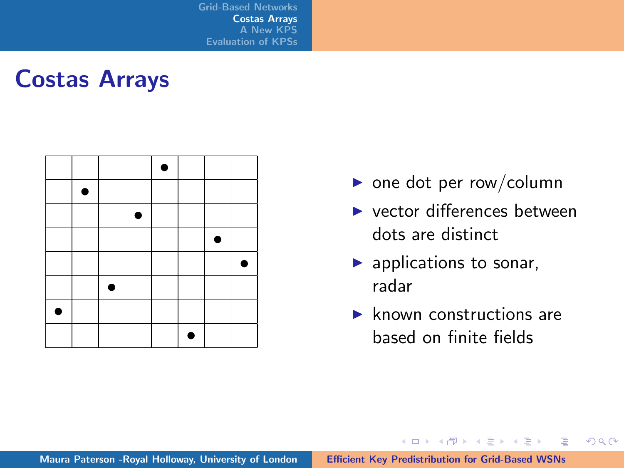#### Costas Arrays

|   | ٠ |   |   |   |  |
|---|---|---|---|---|--|
|   |   |   | ٠ |   |  |
|   |   |   |   |   |  |
|   |   |   |   |   |  |
|   |   | ۰ |   |   |  |
| ٠ |   |   |   |   |  |
|   |   |   |   | € |  |

- $\triangleright$  one dot per row/column
- $\blacktriangleright$  vector differences between dots are distinct
- $\blacktriangleright$  applications to sonar, radar
- $\blacktriangleright$  known constructions are based on finite fields

イロト イ押 トイモト イモト

<span id="page-9-0"></span>目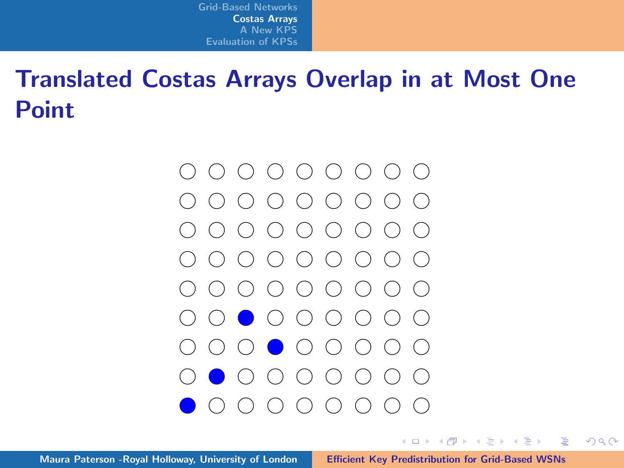# Translated Costas Arrays Overlap in at Most One **Point**



イロメ マ桐 メラミンマチャ

 $\equiv$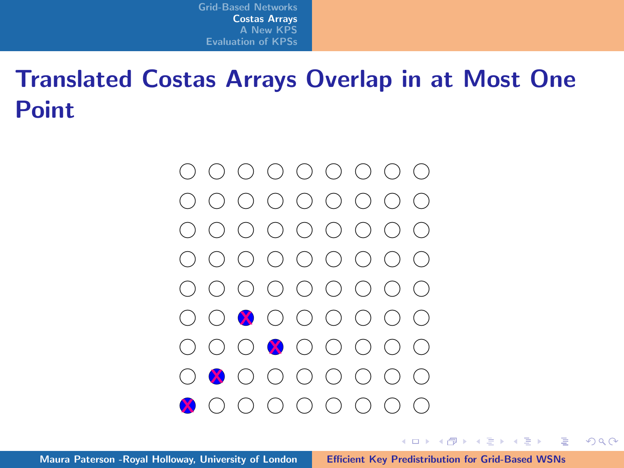# Translated Costas Arrays Overlap in at Most One **Point**



イロメ マ桐 メラミンマチャ

 $\equiv$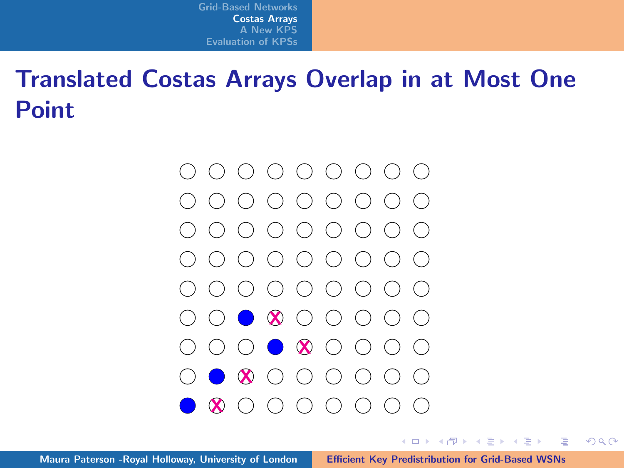# Translated Costas Arrays Overlap in at Most One **Point**



イロト イ押 トイモト イモト

 $\equiv$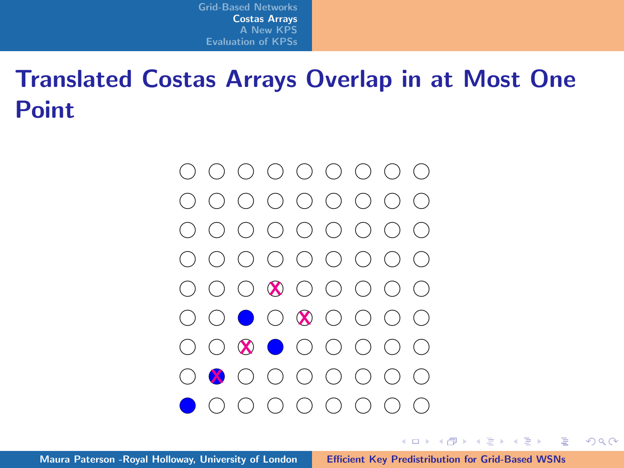# Translated Costas Arrays Overlap in at Most One **Point**



イロメ マ桐 メラミンマチャ

 $\equiv$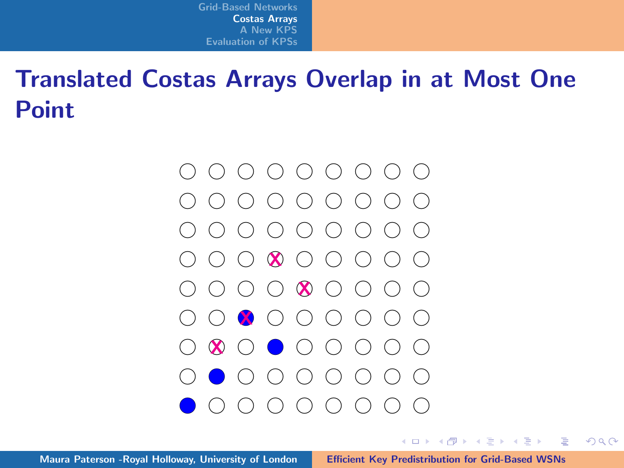# Translated Costas Arrays Overlap in at Most One **Point**



イロメ マ桐 メラミンマチャ

 $\equiv$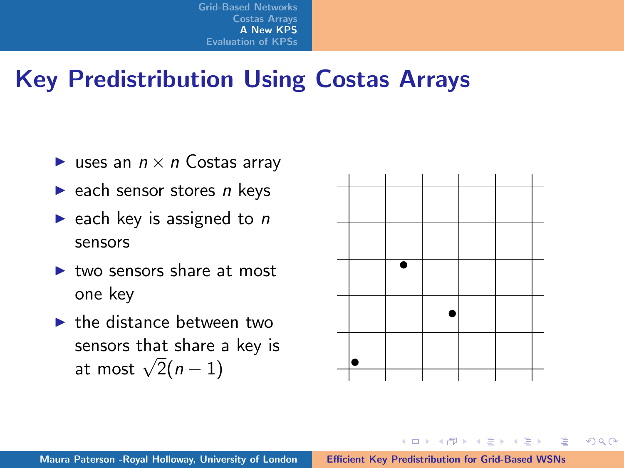## Key Predistribution Using Costas Arrays

- uses an  $n \times n$  Costas array
- $\blacktriangleright$  each sensor stores n keys
- riangleright each key is assigned to  $n$ sensors
- $\blacktriangleright$  two sensors share at most one key
- $\blacktriangleright$  the distance between two sensors that share a key is sensors that share a key is  $\frac{1}{2}(n-1)$



K ロ ⊁ K 倒 ≯ K ミ ⊁ K ミ ⊁

<span id="page-15-0"></span> $\equiv$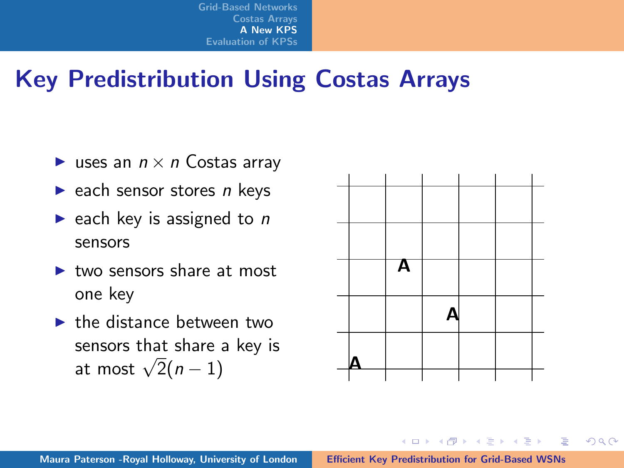## Key Predistribution Using Costas Arrays

- uses an  $n \times n$  Costas array
- $\blacktriangleright$  each sensor stores n keys
- riangleright each key is assigned to  $n$ sensors
- $\blacktriangleright$  two sensors share at most one key
- $\blacktriangleright$  the distance between two sensors that share a key is sensors that share a<br>at most  $\sqrt{2}(n-1)$



イロト イ押 トイモト イモト

 $\equiv$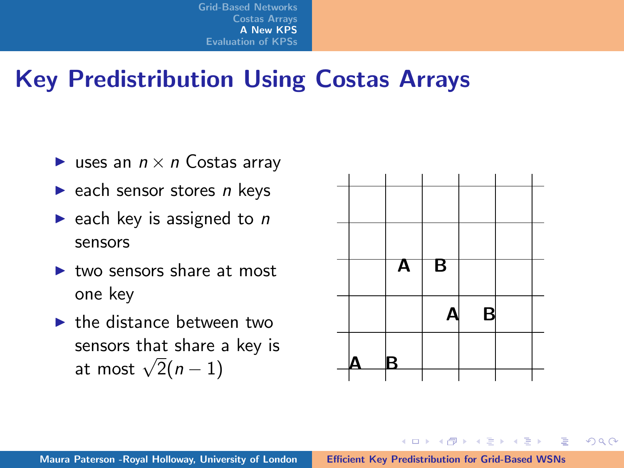## Key Predistribution Using Costas Arrays

- uses an  $n \times n$  Costas array
- $\blacktriangleright$  each sensor stores n keys
- riangleright each key is assigned to  $n$ sensors
- $\blacktriangleright$  two sensors share at most one key
- $\blacktriangleright$  the distance between two sensors that share a key is sensors that share a<br>at most  $\sqrt{2}(n-1)$



イロメ マ桐 メラミンマチャ

 $\equiv$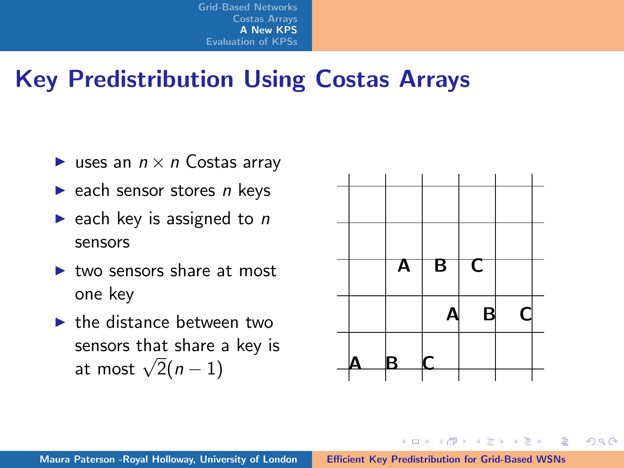## Key Predistribution Using Costas Arrays

- uses an  $n \times n$  Costas array
- $\blacktriangleright$  each sensor stores n keys
- riangleright each key is assigned to  $n$ sensors
- $\blacktriangleright$  two sensors share at most one key
- $\blacktriangleright$  the distance between two sensors that share a key is sensors that share a<br>at most  $\sqrt{2}(n-1)$



イロメ マ桐 メラミンマチャ

 $\equiv$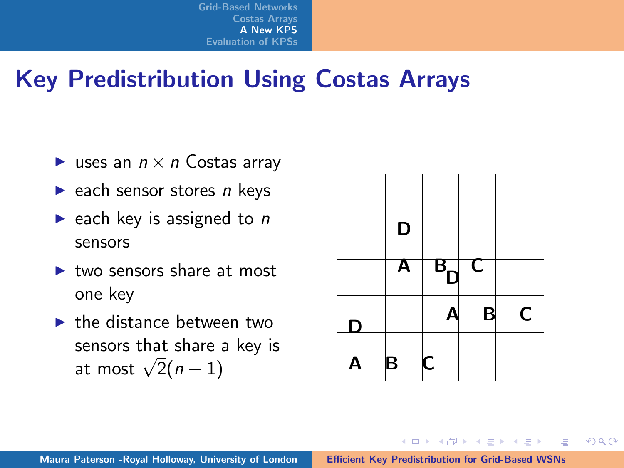## Key Predistribution Using Costas Arrays

- uses an  $n \times n$  Costas array
- $\blacktriangleright$  each sensor stores *n* keys
- riangleright each key is assigned to  $n$ sensors
- $\blacktriangleright$  two sensors share at most one key
- $\blacktriangleright$  the distance between two sensors that share a key is sensors that share a<br>at most  $\sqrt{2}(n-1)$



イロメ マ桐 メラミンマチャ

 $\equiv$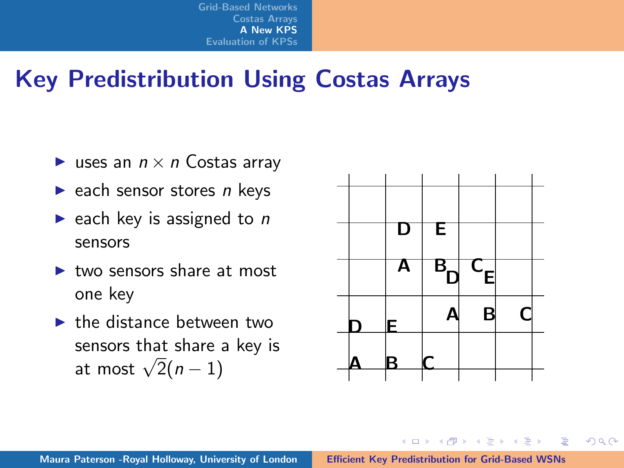## Key Predistribution Using Costas Arrays

- uses an  $n \times n$  Costas array
- $\blacktriangleright$  each sensor stores *n* keys
- riangleright each key is assigned to  $n$ sensors
- $\blacktriangleright$  two sensors share at most one key
- $\blacktriangleright$  the distance between two sensors that share a key is sensors that share a<br>at most  $\sqrt{2}(n-1)$



イロメ マ桐 メラミンマチャ

 $\equiv$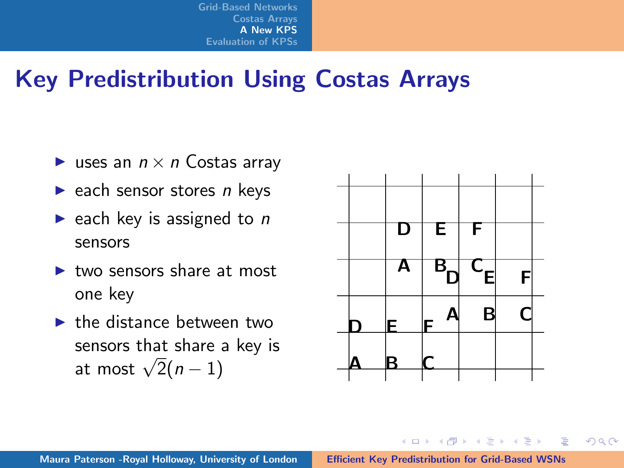## Key Predistribution Using Costas Arrays

- uses an  $n \times n$  Costas array
- $\blacktriangleright$  each sensor stores *n* keys
- riangleright each key is assigned to  $n$ sensors
- $\blacktriangleright$  two sensors share at most one key
- $\blacktriangleright$  the distance between two sensors that share a key is sensors that share a<br>at most  $\sqrt{2}(n-1)$



イロメ マ桐 メラミンマチャ

 $\equiv$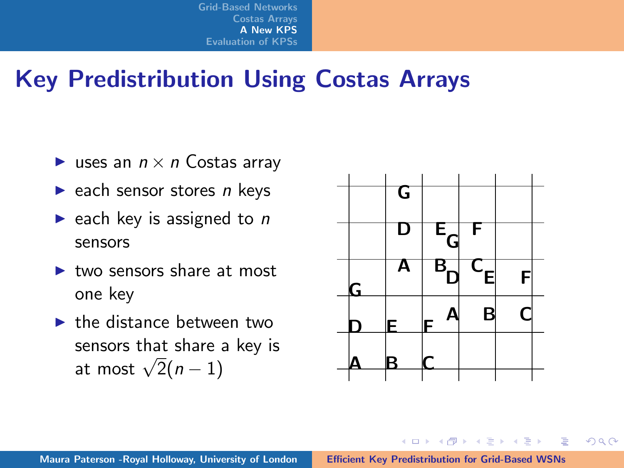## Key Predistribution Using Costas Arrays

- uses an  $n \times n$  Costas array
- $\blacktriangleright$  each sensor stores *n* keys
- riangleright each key is assigned to  $n$ sensors
- $\blacktriangleright$  two sensors share at most one key
- $\blacktriangleright$  the distance between two sensors that share a key is sensors that share a<br>at most  $\sqrt{2}(n-1)$



イロメ マ桐 メラミンマチャ

 $\equiv$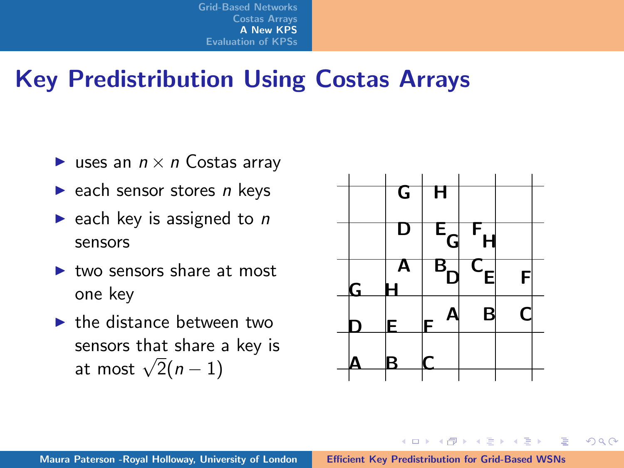## Key Predistribution Using Costas Arrays

- uses an  $n \times n$  Costas array
- $\blacktriangleright$  each sensor stores *n* keys
- riangleright each key is assigned to  $n$ sensors
- $\blacktriangleright$  two sensors share at most one key
- $\blacktriangleright$  the distance between two sensors that share a key is sensors that share a<br>at most  $\sqrt{2}(n-1)$



イロメ マ桐 メラミンマチャ

 $\equiv$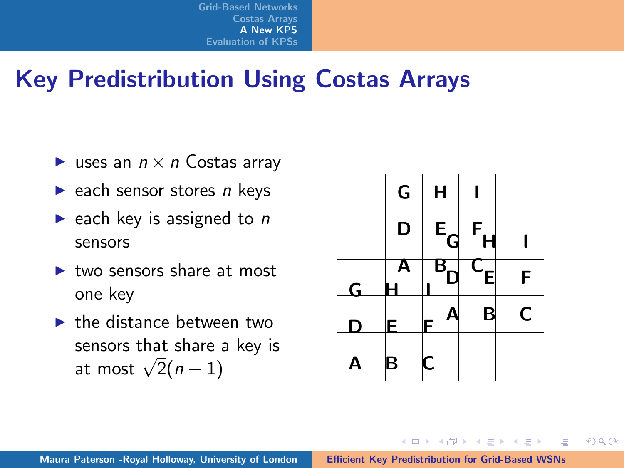## Key Predistribution Using Costas Arrays

- uses an  $n \times n$  Costas array
- $\blacktriangleright$  each sensor stores *n* keys
- riangleright each key is assigned to  $n$ sensors
- $\blacktriangleright$  two sensors share at most one key
- $\blacktriangleright$  the distance between two sensors that share a key is sensors that share a<br>at most  $\sqrt{2}(n-1)$



イロメ マ桐 メラミンマチャ

 $\equiv$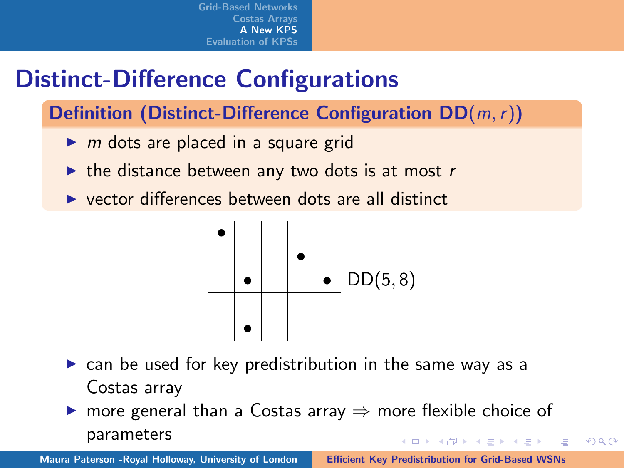# Distinct-Difference Configurations

Definition (Distinct-Difference Configuration  $DD(m, r)$ )

- $\triangleright$  m dots are placed in a square grid
- $\triangleright$  the distance between any two dots is at most r
- $\triangleright$  vector differences between dots are all distinct



- $\triangleright$  can be used for key predistribution in the same way as a Costas array
- $\triangleright$  more general than a Costas array  $\Rightarrow$  more flexible choice of parameters イロメ イ押 トラ ミトラ ミント

 $\Omega$ 

Maura Paterson -Royal Holloway, University of London [Efficient Key Predistribution for Grid-Based WSNs](#page-0-0)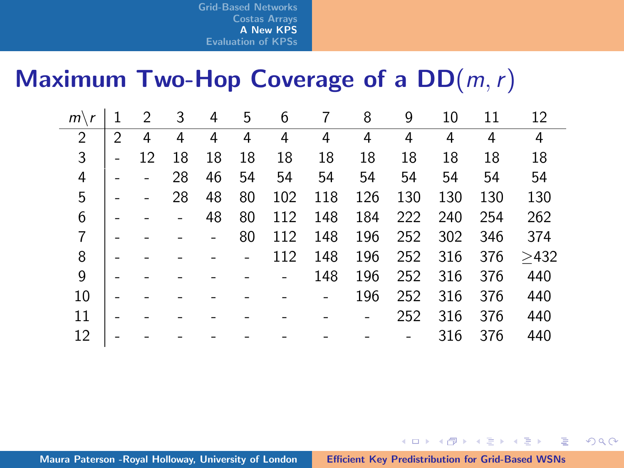## Maximum Two-Hop Coverage of a  $DD(m, r)$

| $m\setminus$   |   | 2  | 3  | 4  | 5  | 6   | 7   | 8   | 9   | 10  | 11  | 12   |
|----------------|---|----|----|----|----|-----|-----|-----|-----|-----|-----|------|
| $\overline{2}$ | 2 | 4  | 4  | 4  | 4  | 4   | 4   | 4   | 4   | 4   | 4   | 4    |
| 3              |   | 12 | 18 | 18 | 18 | 18  | 18  | 18  | 18  | 18  | 18  | 18   |
| 4              |   |    | 28 | 46 | 54 | 54  | 54  | 54  | 54  | 54  | 54  | 54   |
| 5              |   |    | 28 | 48 | 80 | 102 | 118 | 126 | 130 | 130 | 130 | 130  |
| 6              |   |    |    | 48 | 80 | 112 | 148 | 184 | 222 | 240 | 254 | 262  |
| 7              |   |    |    |    | 80 | 112 | 148 | 196 | 252 | 302 | 346 | 374  |
| 8              |   |    |    |    |    | 112 | 148 | 196 | 252 | 316 | 376 | >432 |
| 9              |   |    |    |    |    |     | 148 | 196 | 252 | 316 | 376 | 440  |
| 10             |   |    |    |    |    |     |     | 196 | 252 | 316 | 376 | 440  |
| 11             |   |    |    |    |    |     |     |     | 252 | 316 | 376 | 440  |
| 12             |   |    |    |    |    |     |     |     |     | 316 | 376 | 440  |

イロン イ母ン イミン イモンニ 舌

<span id="page-26-0"></span> $2Q$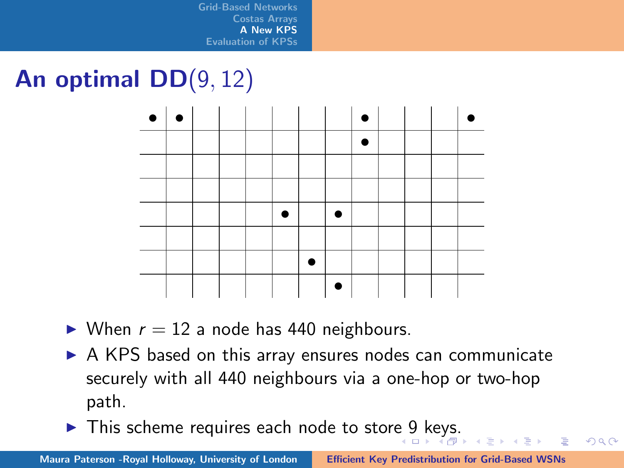# An optimal DD(9, 12)



 $\triangleright$  When  $r = 12$  a node has 440 neighbours.

- $\triangleright$  A KPS based on this array ensures nodes can communicate securely with all 440 neighbours via a one-hop or two-hop path.
- In This scheme requires each node to stor[e 9](#page-26-0) [k](#page-28-0)[e](#page-26-0)[ys.](#page-27-0)

 $\equiv$ 

**ALC: NO** 

<span id="page-27-0"></span> $OQ$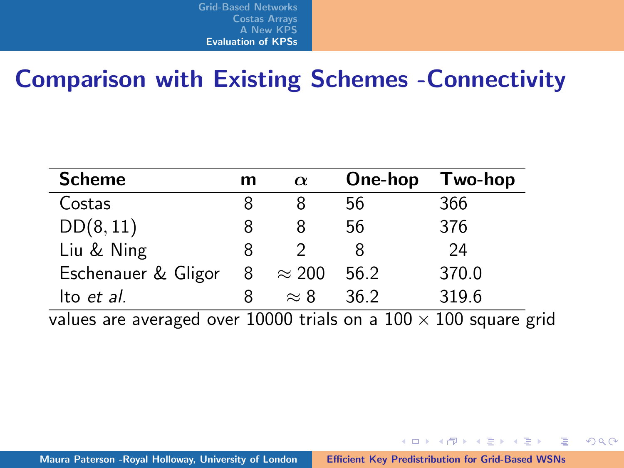#### Comparison with Existing Schemes -Connectivity

| <b>Scheme</b>       | m | $\alpha$      | One-hop | Two-hop |
|---------------------|---|---------------|---------|---------|
| Costas              |   |               | 56      | 366     |
| DD(8, 11)           |   |               | 56      | 376     |
| Liu & Ning          |   |               |         | 24      |
| Eschenauer & Gligor | 8 | $\approx 200$ | 56.2    | 370.0   |
| Ito et al.          |   | $\approx 8$   | 36.2    | 319.6   |
|                     |   | 10000 · · ·   | $\sim$  | $\sim$  |

values are averaged over 10000 trials on a  $100 \times 100$  square grid

<span id="page-28-0"></span>イロン イ団ン イミン イミン 一番